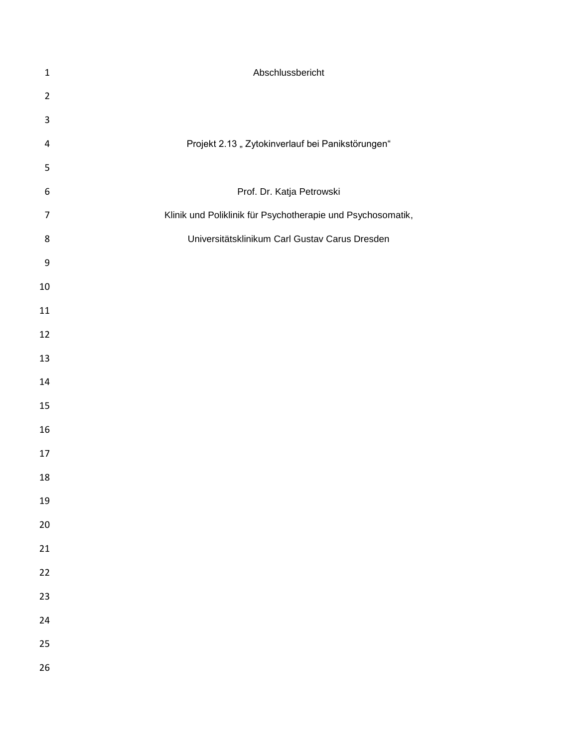| $\mathbf{1}$   | Abschlussbericht                                            |
|----------------|-------------------------------------------------------------|
| $\overline{2}$ |                                                             |
| 3              |                                                             |
| 4              | Projekt 2.13 "Zytokinverlauf bei Panikstörungen"            |
| 5              |                                                             |
| 6              | Prof. Dr. Katja Petrowski                                   |
| $\overline{7}$ | Klinik und Poliklinik für Psychotherapie und Psychosomatik, |
| 8              | Universitätsklinikum Carl Gustav Carus Dresden              |
| 9              |                                                             |
| 10             |                                                             |
| 11             |                                                             |
| 12             |                                                             |
| 13             |                                                             |
| 14             |                                                             |
| 15             |                                                             |
| 16             |                                                             |
| 17             |                                                             |
| 18             |                                                             |
| 19             |                                                             |
| $20\,$         |                                                             |
| 21             |                                                             |
| 22             |                                                             |
| 23             |                                                             |
| 24             |                                                             |
| 25             |                                                             |
| 26             |                                                             |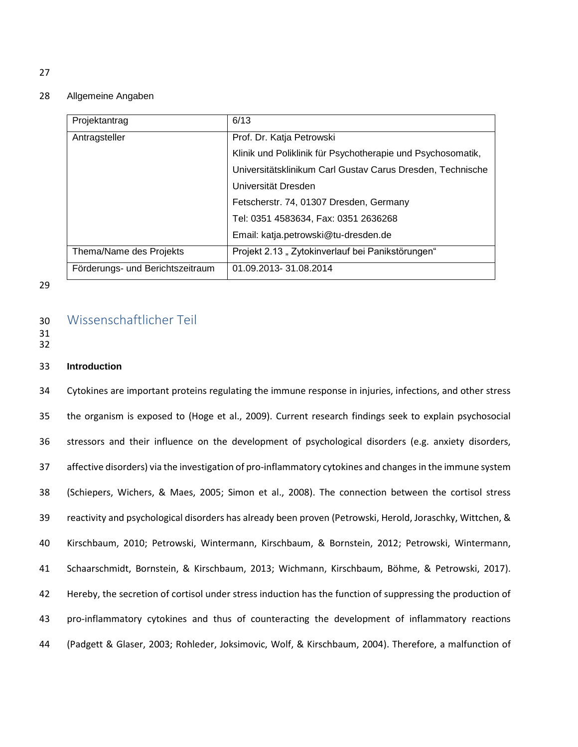#### Allgemeine Angaben

| Projektantrag                    | 6/13                                                        |
|----------------------------------|-------------------------------------------------------------|
| Antragsteller                    | Prof. Dr. Katja Petrowski                                   |
|                                  | Klinik und Poliklinik für Psychotherapie und Psychosomatik, |
|                                  | Universitätsklinikum Carl Gustav Carus Dresden, Technische  |
|                                  | Universität Dresden                                         |
|                                  | Fetscherstr. 74, 01307 Dresden, Germany                     |
|                                  | Tel: 0351 4583634, Fax: 0351 2636268                        |
|                                  | Email: katja.petrowski@tu-dresden.de                        |
| Thema/Name des Projekts          | Projekt 2.13 "Zytokinverlauf bei Panikstörungen"            |
| Förderungs- und Berichtszeitraum | 01.09.2013-31.08.2014                                       |

## 

# Wissenschaftlicher Teil

- 
- 

## **Introduction**

 Cytokines are important proteins regulating the immune response in injuries, infections, and other stress the organism is exposed to [\(Hoge et al., 2009\)](#page-16-0). Current research findings seek to explain psychosocial stressors and their influence on the development of psychological disorders (e.g. anxiety disorders, affective disorders) via the investigation of pro-inflammatory cytokines and changes in the immune system [\(Schiepers, Wichers, & Maes, 2005;](#page-16-1) [Simon et al., 2008\)](#page-17-0). The connection between the cortisol stress reactivity and psychological disorders has already been proven [\(Petrowski, Herold, Joraschky, Wittchen, &](#page-16-2)  [Kirschbaum, 2010;](#page-16-2) [Petrowski, Wintermann, Kirschbaum, & Bornstein, 2012;](#page-16-3) [Petrowski, Wintermann,](#page-16-4)  [Schaarschmidt, Bornstein, & Kirschbaum, 2013;](#page-16-4) [Wichmann, Kirschbaum, Böhme, & Petrowski, 2017\)](#page-17-1). Hereby, the secretion of cortisol under stress induction has the function of suppressing the production of pro-inflammatory cytokines and thus of counteracting the development of inflammatory reactions [\(Padgett & Glaser, 2003;](#page-16-5) [Rohleder, Joksimovic, Wolf, & Kirschbaum, 2004\)](#page-16-6). Therefore, a malfunction of

####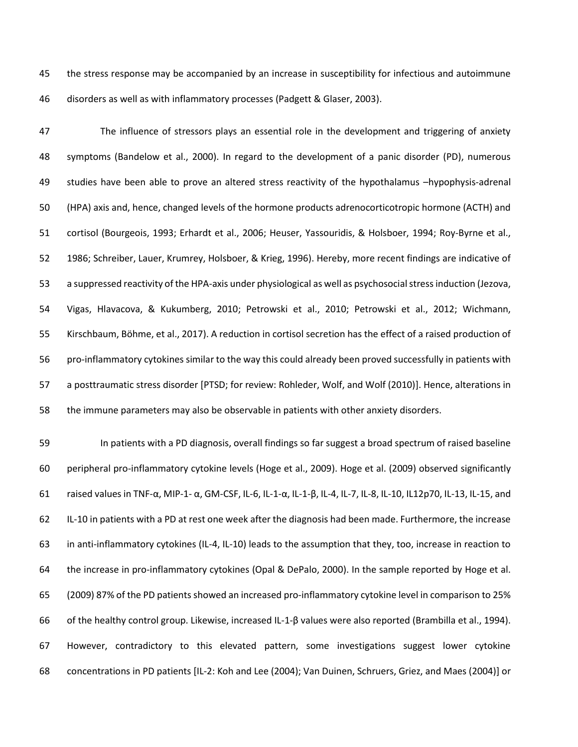the stress response may be accompanied by an increase in susceptibility for infectious and autoimmune disorders as well as with inflammatory processes [\(Padgett & Glaser, 2003\)](#page-16-5).

 The influence of stressors plays an essential role in the development and triggering of anxiety symptoms (Bandelow et al., 2000). In regard to the development of a panic disorder (PD), numerous studies have been able to prove an altered stress reactivity of the hypothalamus –hypophysis-adrenal (HPA) axis and, hence, changed levels of the hormone products adrenocorticotropic hormone (ACTH) and cortisol [\(Bourgeois, 1993;](#page-15-0) [Erhardt et al., 2006;](#page-15-1) [Heuser, Yassouridis, & Holsboer, 1994;](#page-16-7) [Roy-Byrne et al.,](#page-16-8)  [1986;](#page-16-8) [Schreiber, Lauer, Krumrey, Holsboer, & Krieg, 1996\)](#page-17-2). Hereby, more recent findings are indicative of a suppressed reactivity of the HPA-axis under physiological as well as psychosocial stress induction [\(Jezova,](#page-16-9)  [Vigas, Hlavacova, & Kukumberg, 2010;](#page-16-9) [Petrowski et al., 2010;](#page-16-2) [Petrowski et al., 2012;](#page-16-3) [Wichmann,](#page-17-1)  [Kirschbaum, Böhme, et al., 2017\)](#page-17-1). A reduction in cortisol secretion has the effect of a raised production of pro-inflammatory cytokines similar to the way this could already been proved successfully in patients with a posttraumatic stress disorder [PTSD; for review: Rohleder, Wolf, and Wolf (2010)]. Hence, alterations in the immune parameters may also be observable in patients with other anxiety disorders.

 In patients with a PD diagnosis, overall findings so far suggest a broad spectrum of raised baseline peripheral pro-inflammatory cytokine levels [\(Hoge et al., 2009\)](#page-16-0). Hoge et al. (2009) observed significantly raised values in TNF-α, MIP-1- α, GM-CSF, IL-6, IL-1-α, IL-1-β, IL-4, IL-7, IL-8, IL-10, IL12p70, IL-13, IL-15, and IL-10 in patients with a PD at rest one week after the diagnosis had been made. Furthermore, the increase in anti-inflammatory cytokines (IL-4, IL-10) leads to the assumption that they, too, increase in reaction to the increase in pro-inflammatory cytokines [\(Opal & DePalo, 2000\)](#page-16-10). In the sample reported by Hoge et al. (2009) 87% of the PD patients showed an increased pro-inflammatory cytokine level in comparison to 25% of the healthy control group. Likewise, increased IL-1-β values were also reported [\(Brambilla et al., 1994\)](#page-15-2). However, contradictory to this elevated pattern, some investigations suggest lower cytokine concentrations in PD patients [IL-2: Koh and Lee (2004); Van Duinen, Schruers, Griez, and Maes (2004)] or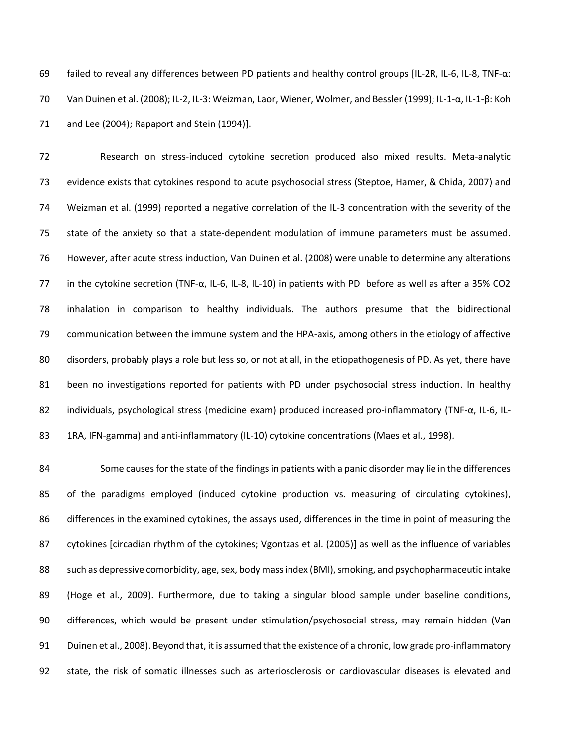failed to reveal any differences between PD patients and healthy control groups [IL-2R, IL-6, IL-8, TNF-α: Van Duinen et al. (2008); IL-2, IL-3: Weizman, Laor, Wiener, Wolmer, and Bessler (1999); IL-1-α, IL-1-β: Koh and Lee (2004); Rapaport and Stein (1994)].

 Research on stress-induced cytokine secretion produced also mixed results. Meta-analytic evidence exists that cytokines respond to acute psychosocial stress [\(Steptoe, Hamer, & Chida, 2007\)](#page-17-3) and Weizman et al. (1999) reported a negative correlation of the IL-3 concentration with the severity of the state of the anxiety so that a state-dependent modulation of immune parameters must be assumed. However, after acute stress induction, Van Duinen et al. (2008) were unable to determine any alterations in the cytokine secretion (TNF-α, IL-6, IL-8, IL-10) in patients with PD before as well as after a 35% CO2 inhalation in comparison to healthy individuals. The authors presume that the bidirectional communication between the immune system and the HPA-axis, among others in the etiology of affective disorders, probably plays a role but less so, or not at all, in the etiopathogenesis of PD. As yet, there have been no investigations reported for patients with PD under psychosocial stress induction. In healthy individuals, psychological stress (medicine exam) produced increased pro-inflammatory (TNF-α, IL-6, IL-1RA, IFN-gamma) and anti-inflammatory (IL-10) cytokine concentrations [\(Maes et al., 1998\)](#page-16-11).

 Some causes for the state of the findings in patients with a panic disorder may lie in the differences of the paradigms employed (induced cytokine production vs. measuring of circulating cytokines), differences in the examined cytokines, the assays used, differences in the time in point of measuring the cytokines [circadian rhythm of the cytokines; Vgontzas et al. (2005)] as well as the influence of variables such as depressive comorbidity, age, sex, body mass index (BMI), smoking, and psychopharmaceutic intake [\(Hoge et al., 2009\)](#page-16-0). Furthermore, due to taking a singular blood sample under baseline conditions, differences, which would be present under stimulation/psychosocial stress, may remain hidden [\(Van](#page-17-4)  [Duinen et al., 2008\)](#page-17-4). Beyond that, it is assumed that the existence of a chronic, low grade pro-inflammatory state, the risk of somatic illnesses such as arteriosclerosis or cardiovascular diseases is elevated and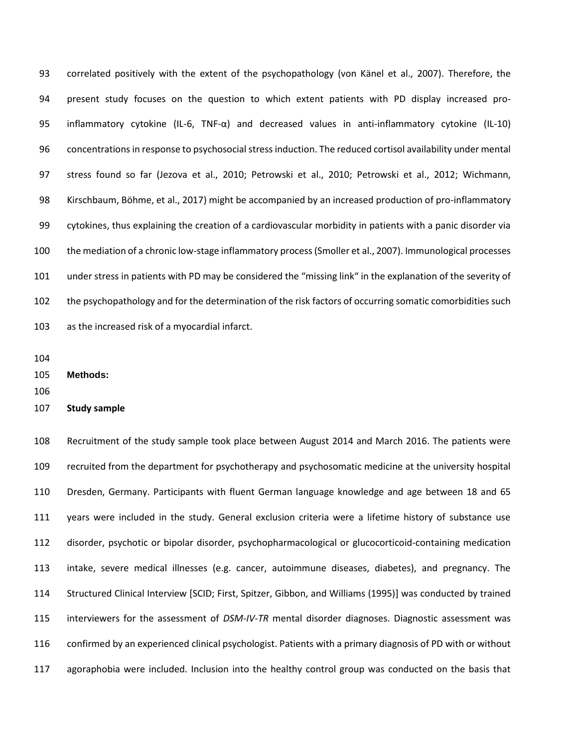correlated positively with the extent of the psychopathology [\(von Känel et al., 2007\)](#page-17-5). Therefore, the present study focuses on the question to which extent patients with PD display increased pro- inflammatory cytokine (IL-6, TNF-α) and decreased values in anti-inflammatory cytokine (IL-10) concentrations in response to psychosocial stress induction. The reduced cortisol availability under mental stress found so far [\(Jezova et al., 2010;](#page-16-9) [Petrowski et al., 2010;](#page-16-2) [Petrowski et al., 2012;](#page-16-3) [Wichmann,](#page-17-1)  [Kirschbaum, Böhme, et al., 2017\)](#page-17-1) might be accompanied by an increased production of pro-inflammatory cytokines, thus explaining the creation of a cardiovascular morbidity in patients with a panic disorder via the mediation of a chronic low-stage inflammatory process [\(Smoller et al., 2007\)](#page-17-6). Immunological processes under stress in patients with PD may be considered the "missing link" in the explanation of the severity of the psychopathology and for the determination of the risk factors of occurring somatic comorbidities such as the increased risk of a myocardial infarct.

**Methods:**

**Study sample**

 Recruitment of the study sample took place between August 2014 and March 2016. The patients were recruited from the department for psychotherapy and psychosomatic medicine at the university hospital Dresden, Germany. Participants with fluent German language knowledge and age between 18 and 65 years were included in the study. General exclusion criteria were a lifetime history of substance use disorder, psychotic or bipolar disorder, psychopharmacological or glucocorticoid-containing medication intake, severe medical illnesses (e.g. cancer, autoimmune diseases, diabetes), and pregnancy. The Structured Clinical Interview [SCID; First, Spitzer, Gibbon, and Williams (1995)] was conducted by trained interviewers for the assessment of *DSM-IV-TR* mental disorder diagnoses. Diagnostic assessment was confirmed by an experienced clinical psychologist. Patients with a primary diagnosis of PD with or without agoraphobia were included. Inclusion into the healthy control group was conducted on the basis that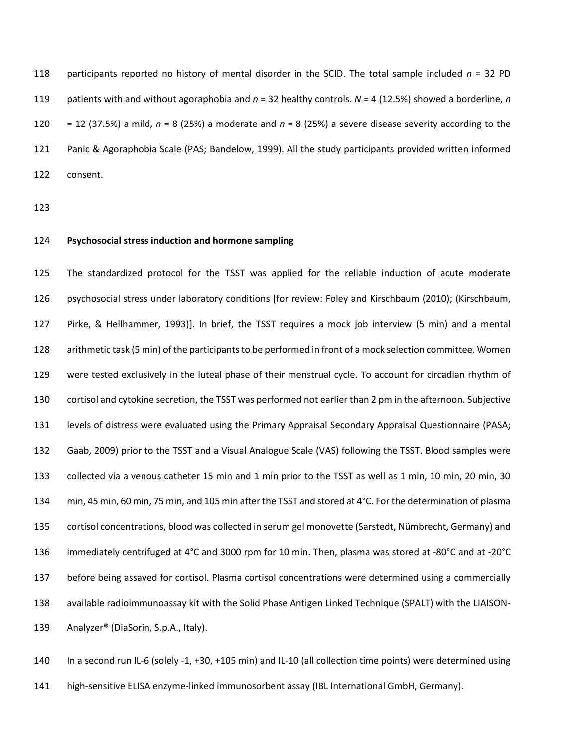118 participants reported no history of mental disorder in the SCID. The total sample included  $n = 32$  PD patients with and without agoraphobia and *n* = 32 healthy controls. *N* = 4 (12.5%) showed a borderline, *n* = 12 (37.5%) a mild, *n* = 8 (25%) a moderate and *n* = 8 (25%) a severe disease severity according to the Panic & Agoraphobia Scale [\(PAS; Bandelow, 1999\)](#page-15-3). All the study participants provided written informed consent.

### **Psychosocial stress induction and hormone sampling**

 The standardized protocol for the TSST was applied for the reliable induction of acute moderate psychosocial stress under laboratory conditions [for review: Foley and Kirschbaum (2010); [\(Kirschbaum,](#page-16-12)  [Pirke, & Hellhammer, 1993\)](#page-16-12)]. In brief, the TSST requires a mock job interview (5 min) and a mental arithmetic task (5 min) of the participants to be performed in front of a mock selection committee. Women were tested exclusively in the luteal phase of their menstrual cycle. To account for circadian rhythm of cortisol and cytokine secretion, the TSST was performed not earlier than 2 pm in the afternoon. Subjective levels of distress were evaluated using the Primary Appraisal Secondary Appraisal Questionnaire [\(PASA;](#page-15-4)  [Gaab, 2009\)](#page-15-4) prior to the TSST and a Visual Analogue Scale (VAS) following the TSST. Blood samples were collected via a venous catheter 15 min and 1 min prior to the TSST as well as 1 min, 10 min, 20 min, 30 min, 45 min, 60 min, 75 min, and 105 min after the TSST and stored at 4°C. For the determination of plasma cortisol concentrations, blood was collected in serum gel monovette (Sarstedt, Nümbrecht, Germany) and immediately centrifuged at 4°C and 3000 rpm for 10 min. Then, plasma was stored at -80°C and at -20°C before being assayed for cortisol. Plasma cortisol concentrations were determined using a commercially available radioimmunoassay kit with the Solid Phase Antigen Linked Technique (SPALT) with the LIAISON-Analyzer® (DiaSorin, S.p.A., Italy).

 In a second run IL-6 (solely -1, +30, +105 min) and IL-10 (all collection time points) were determined using high-sensitive ELISA enzyme-linked immunosorbent assay (IBL International GmbH, Germany).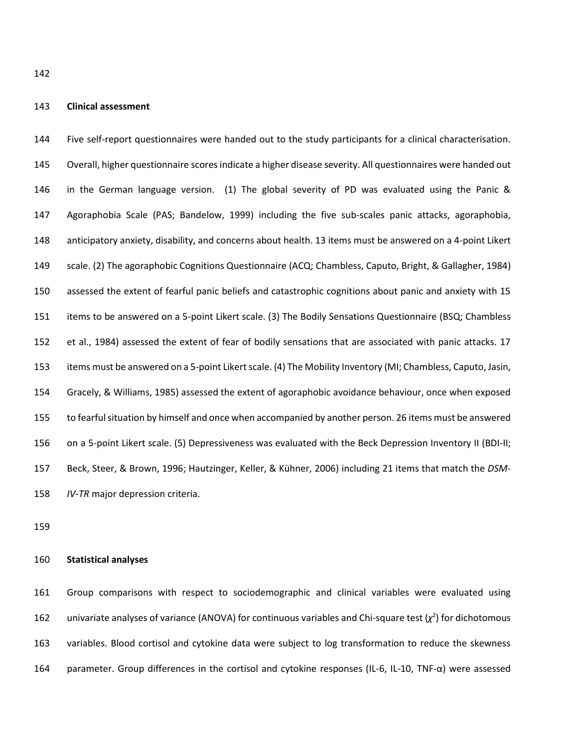#### **Clinical assessment**

 Five self-report questionnaires were handed out to the study participants for a clinical characterisation. Overall, higher questionnaire scores indicate a higher disease severity. All questionnaires were handed out in the German language version. (1) The global severity of PD was evaluated using the Panic & Agoraphobia Scale (PAS; [Bandelow, 1999\)](#page-15-3) including the five sub-scales panic attacks, agoraphobia, anticipatory anxiety, disability, and concerns about health. 13 items must be answered on a 4-point Likert scale. (2) The agoraphobic Cognitions Questionnaire [\(ACQ; Chambless, Caputo, Bright, & Gallagher, 1984\)](#page-15-5) assessed the extent of fearful panic beliefs and catastrophic cognitions about panic and anxiety with 15 items to be answered on a 5-point Likert scale. (3) The Bodily Sensations Questionnaire [\(BSQ; Chambless](#page-15-5)  [et al., 1984\)](#page-15-5) assessed the extent of fear of bodily sensations that are associated with panic attacks. 17 items must be answered on a 5-point Likert scale. (4) The Mobility Inventory [\(MI; Chambless, Caputo, Jasin,](#page-15-6)  [Gracely, & Williams, 1985\)](#page-15-6) assessed the extent of agoraphobic avoidance behaviour, once when exposed to fearful situation by himself and once when accompanied by another person. 26 items must be answered on a 5-point Likert scale. (5) Depressiveness was evaluated with the Beck Depression Inventory II (BDI-II; [Beck, Steer, & Brown, 1996;](#page-15-7) [Hautzinger, Keller, & Kühner, 2006\)](#page-15-8) including 21 items that match the *DSM-IV-TR* major depression criteria.

#### **Statistical analyses**

 Group comparisons with respect to sociodemographic and clinical variables were evaluated using 162 univariate analyses of variance (ANOVA) for continuous variables and Chi-square test  $(\chi^2)$  for dichotomous variables. Blood cortisol and cytokine data were subject to log transformation to reduce the skewness parameter. Group differences in the cortisol and cytokine responses (IL-6, IL-10, TNF-α) were assessed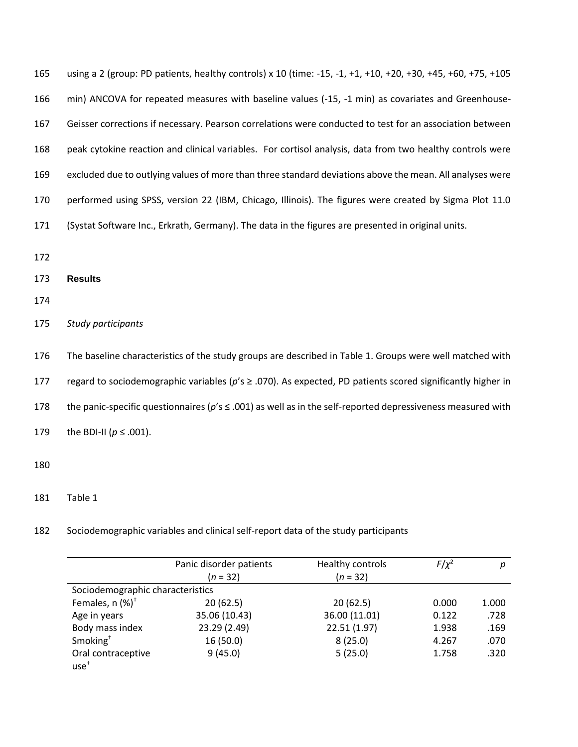| 165 | using a 2 (group: PD patients, healthy controls) x 10 (time: -15, -1, +1, +10, +20, +30, +45, +60, +75, +105 |
|-----|--------------------------------------------------------------------------------------------------------------|
| 166 | min) ANCOVA for repeated measures with baseline values (-15, -1 min) as covariates and Greenhouse-           |
| 167 | Geisser corrections if necessary. Pearson correlations were conducted to test for an association between     |
| 168 | peak cytokine reaction and clinical variables. For cortisol analysis, data from two healthy controls were    |
| 169 | excluded due to outlying values of more than three standard deviations above the mean. All analyses were     |
| 170 | performed using SPSS, version 22 (IBM, Chicago, Illinois). The figures were created by Sigma Plot 11.0       |
| 171 | (Systat Software Inc., Erkrath, Germany). The data in the figures are presented in original units.           |
| 172 |                                                                                                              |
| 173 | <b>Results</b>                                                                                               |
| 174 |                                                                                                              |
| 175 | Study participants                                                                                           |
|     |                                                                                                              |
| 176 | The baseline characteristics of the study groups are described in Table 1. Groups were well matched with     |

178 the panic-specific questionnaires (*p*'s ≤ .001) as well as in the self-reported depressiveness measured with

179 the BDI-II ( $p \le .001$ ).

- 180
- 181 Table 1

182 Sociodemographic variables and clinical self-report data of the study participants

|                                  | Panic disorder patients | Healthy controls | $F/\chi^2$ | р     |
|----------------------------------|-------------------------|------------------|------------|-------|
|                                  | $(n = 32)$              | $(n = 32)$       |            |       |
| Sociodemographic characteristics |                         |                  |            |       |
| Females, $n$ (%) <sup>+</sup>    | 20(62.5)                | 20(62.5)         | 0.000      | 1.000 |
| Age in years                     | 35.06 (10.43)           | 36.00 (11.01)    | 0.122      | .728  |
| Body mass index                  | 23.29 (2.49)            | 22.51 (1.97)     | 1.938      | .169  |
| Smoking <sup>+</sup>             | 16(50.0)                | 8(25.0)          | 4.267      | .070  |
| Oral contraceptive               | 9(45.0)                 | 5(25.0)          | 1.758      | .320  |
| $use+$                           |                         |                  |            |       |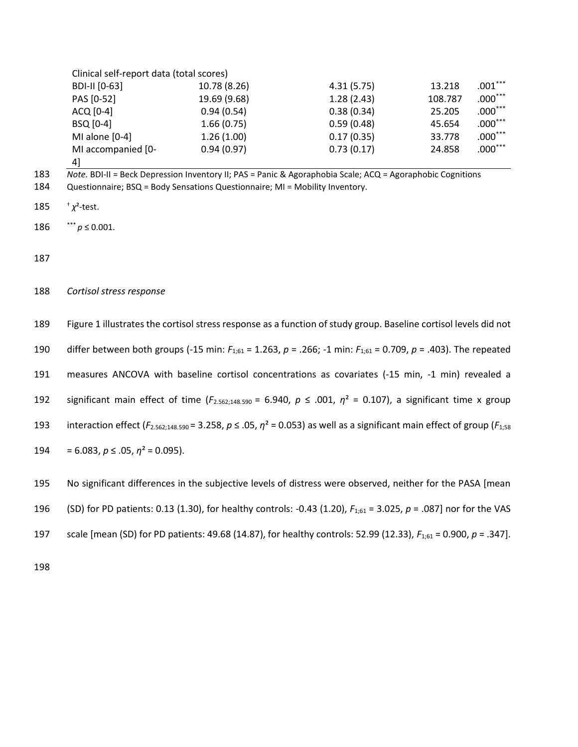| Clinical self-report data (total scores) |              |            |         |           |
|------------------------------------------|--------------|------------|---------|-----------|
| BDI-II [0-63]                            | 10.78 (8.26) | 4.31(5.75) | 13.218  | $.001***$ |
| PAS [0-52]                               | 19.69 (9.68) | 1.28(2.43) | 108.787 | $.000***$ |
| ACQ [0-4]                                | 0.94(0.54)   | 0.38(0.34) | 25.205  | $.000***$ |
| BSQ [0-4]                                | 1.66(0.75)   | 0.59(0.48) | 45.654  | $.000***$ |
| MI alone [0-4]                           | 1.26(1.00)   | 0.17(0.35) | 33.778  | $.000***$ |
| MI accompanied [0-                       | 0.94(0.97)   | 0.73(0.17) | 24.858  | $.000***$ |
| 41                                       |              |            |         |           |

183 *Note.* BDI-II = Beck Depression Inventory II; PAS = Panic & Agoraphobia Scale; ACQ = Agoraphobic Cognitions

- 184 Questionnaire; BSQ = Body Sensations Questionnaire; MI = Mobility Inventory.
- † 185 *χ*²-test.
- 186  $p \le 0.001$ .

187

188 *Cortisol stress response*

| 189 | Figure 1 illustrates the cortisol stress response as a function of study group. Baseline cortisol levels did not                                |
|-----|-------------------------------------------------------------------------------------------------------------------------------------------------|
| 190 | differ between both groups (-15 min: $F_{1:61} = 1.263$ , $p = .266$ ; -1 min: $F_{1:61} = 0.709$ , $p = .403$ ). The repeated                  |
| 191 | measures ANCOVA with baseline cortisol concentrations as covariates (-15 min, -1 min) revealed a                                                |
| 192 | significant main effect of time ( $F_{2.562;148.590}$ = 6.940, $p \le .001$ , $\eta^2$ = 0.107), a significant time x group                     |
| 193 | interaction effect ( $F_{2.562;148.590}$ = 3.258, $p \le 0.05$ , $\eta^2$ = 0.053) as well as a significant main effect of group ( $F_{1,58}$ ) |
| 194 | $= 6.083, p \le .05, \eta^2 = 0.095$ ).                                                                                                         |
| 195 | No significant differences in the subjective levels of distress were observed, neither for the PASA [mean                                       |

196 (SD) for PD patients: 0.13 (1.30), for healthy controls: -0.43 (1.20), *F*1;61 = 3.025, *p* = .087] nor for the VAS

197 scale [mean (SD) for PD patients: 49.68 (14.87), for healthy controls: 52.99 (12.33), *F*1;61 = 0.900, *p* = .347].

198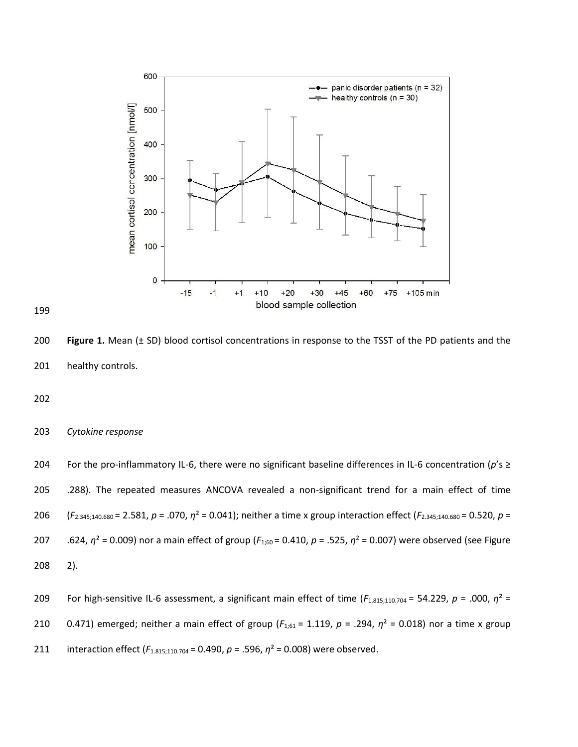

 **Figure 1.** Mean (± SD) blood cortisol concentrations in response to the TSST of the PD patients and the healthy controls.

## *Cytokine response*

 For the pro-inflammatory IL-6, there were no significant baseline differences in IL-6 concentration (*p*'s ≥ .288). The repeated measures ANCOVA revealed a non-significant trend for a main effect of time (*F*2.345;140.680 = 2.581, *p* = .070, *η*² = 0.041); neither a time x group interaction effect (*F*2.345;140.680 = 0.520, *p* = .624, *η*² = 0.009) nor a main effect of group (*F*1;60 = 0.410, *p* = .525, *η*² = 0.007) were observed (see Figure 2). For high-sensitive IL-6 assessment, a significant main effect of time (*F*1.815;110.704 = 54.229, *p* = .000, *η*² =

0.471) emerged; neither a main effect of group (*F*1;61 = 1.119, *p* = .294, *η*² = 0.018) nor a time x group

211 interaction effect (*F*<sub>1.815;110.704</sub> = 0.490, *p* = .596, *η*<sup>2</sup> = 0.008) were observed.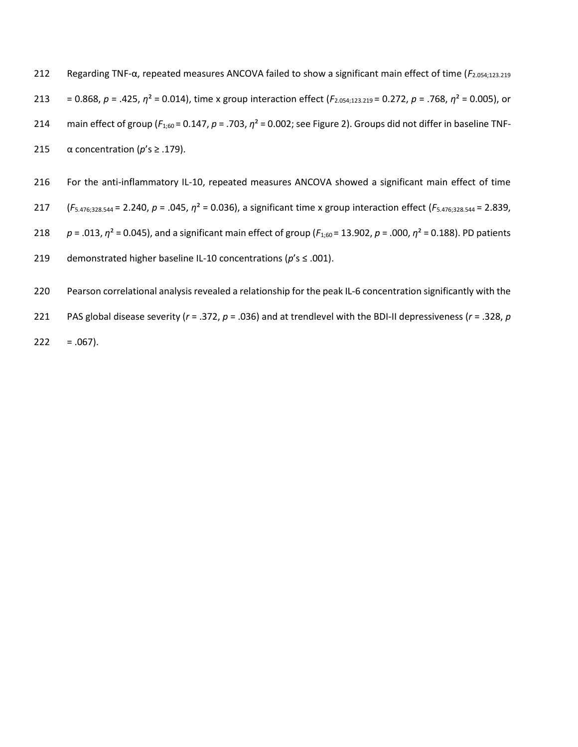Regarding TNF-α, repeated measures ANCOVA failed to show a significant main effect of time (*F*2.054;123.219 = 0.868, *p* = .425, *η*² = 0.014), time x group interaction effect (*F*2.054;123.219 = 0.272, *p* = .768, *η*² = 0.005), or 214 main effect of group ( $F_{1,60}$  = 0.147,  $p = .703$ ,  $η<sup>2</sup> = 0.002$ ; see Figure 2). Groups did not differ in baseline TNF- $\alpha$  concentration ( $p's \ge 0.179$ ).

- For the anti-inflammatory IL-10, repeated measures ANCOVA showed a significant main effect of time
- (*F*5.476;328.544 = 2.240, *p* = .045, *η*² = 0.036), a significant time x group interaction effect (*F*5.476;328.544 = 2.839,
- *p* = .013, *η*² = 0.045), and a significant main effect of group (*F*1;60 = 13.902, *p* = .000, *η*² = 0.188). PD patients
- demonstrated higher baseline IL-10 concentrations (*p*'s ≤ .001).
- Pearson correlational analysis revealed a relationship for the peak IL-6 concentration significantly with the
- PAS global disease severity (*r* = .372, *p* = .036) and at trendlevel with the BDI-II depressiveness (*r* = .328, *p*
- $222 = .067$ ).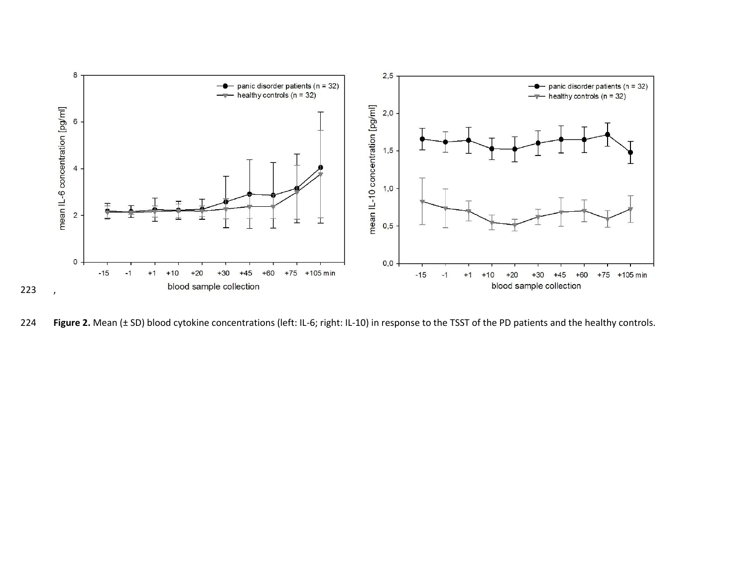

**Figure 2.** Mean (± SD) blood cytokine concentrations (left: IL-6; right: IL-10) in response to the TSST of the PD patients and the healthy controls.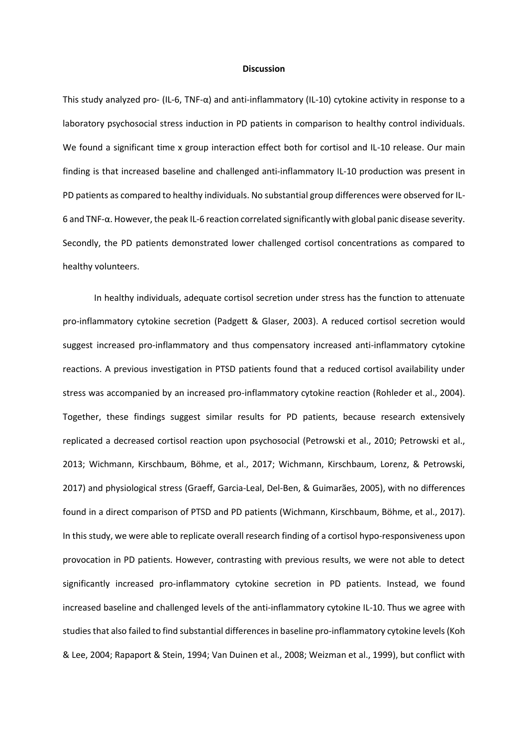#### **Discussion**

This study analyzed pro- (IL-6, TNF-α) and anti-inflammatory (IL-10) cytokine activity in response to a laboratory psychosocial stress induction in PD patients in comparison to healthy control individuals. We found a significant time x group interaction effect both for cortisol and IL-10 release. Our main finding is that increased baseline and challenged anti-inflammatory IL-10 production was present in PD patients as compared to healthy individuals. No substantial group differences were observed for IL-6 and TNF-α. However, the peak IL-6 reaction correlated significantly with global panic disease severity. Secondly, the PD patients demonstrated lower challenged cortisol concentrations as compared to healthy volunteers.

In healthy individuals, adequate cortisol secretion under stress has the function to attenuate pro-inflammatory cytokine secretion [\(Padgett & Glaser, 2003\)](#page-16-13). A reduced cortisol secretion would suggest increased pro-inflammatory and thus compensatory increased anti-inflammatory cytokine reactions. A previous investigation in PTSD patients found that a reduced cortisol availability under stress was accompanied by an increased pro-inflammatory cytokine reaction [\(Rohleder et al., 2004\)](#page-16-14). Together, these findings suggest similar results for PD patients, because research extensively replicated a decreased cortisol reaction upon psychosocial [\(Petrowski et al., 2010;](#page-16-15) [Petrowski et al.,](#page-16-16)  [2013;](#page-16-16) [Wichmann, Kirschbaum, Böhme, et al., 2017;](#page-17-7) [Wichmann, Kirschbaum, Lorenz, & Petrowski,](#page-17-8)  [2017\)](#page-17-8) and physiological stress [\(Graeff, Garcia-Leal, Del-Ben, & Guimarães, 2005\)](#page-15-9), with no differences found in a direct comparison of PTSD and PD patients [\(Wichmann, Kirschbaum, Böhme, et al., 2017\)](#page-17-7). In this study, we were able to replicate overall research finding of a cortisol hypo-responsiveness upon provocation in PD patients. However, contrasting with previous results, we were not able to detect significantly increased pro-inflammatory cytokine secretion in PD patients. Instead, we found increased baseline and challenged levels of the anti-inflammatory cytokine IL-10. Thus we agree with studies that also failed to find substantial differences in baseline pro-inflammatory cytokine levels [\(Koh](#page-16-17)  [& Lee, 2004;](#page-16-17) [Rapaport & Stein, 1994;](#page-16-18) [Van Duinen et al., 2008;](#page-17-9) [Weizman et al., 1999\)](#page-17-10), but conflict with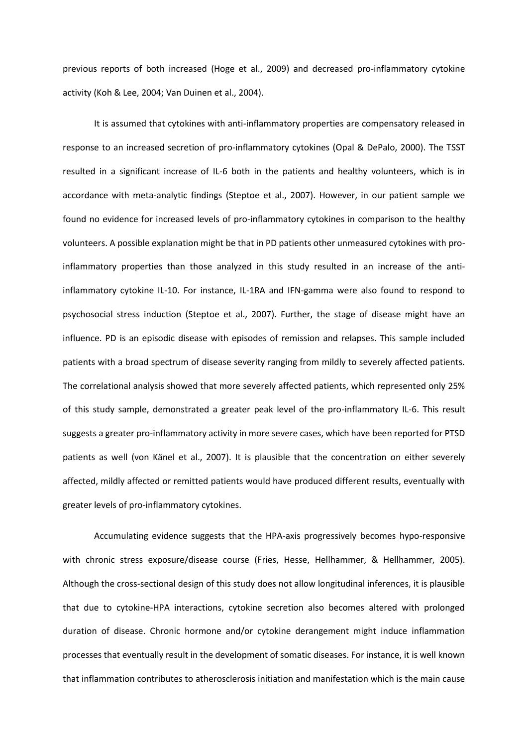previous reports of both increased [\(Hoge et al., 2009\)](#page-16-19) and decreased pro-inflammatory cytokine activity [\(Koh & Lee, 2004;](#page-16-17) [Van Duinen et al., 2004\)](#page-17-11).

It is assumed that cytokines with anti-inflammatory properties are compensatory released in response to an increased secretion of pro-inflammatory cytokines [\(Opal & DePalo, 2000\)](#page-16-20). The TSST resulted in a significant increase of IL-6 both in the patients and healthy volunteers, which is in accordance with meta-analytic findings [\(Steptoe et al., 2007\)](#page-17-12). However, in our patient sample we found no evidence for increased levels of pro-inflammatory cytokines in comparison to the healthy volunteers. A possible explanation might be that in PD patients other unmeasured cytokines with proinflammatory properties than those analyzed in this study resulted in an increase of the antiinflammatory cytokine IL-10. For instance, IL-1RA and IFN-gamma were also found to respond to psychosocial stress induction [\(Steptoe et al., 2007\)](#page-17-12). Further, the stage of disease might have an influence. PD is an episodic disease with episodes of remission and relapses. This sample included patients with a broad spectrum of disease severity ranging from mildly to severely affected patients. The correlational analysis showed that more severely affected patients, which represented only 25% of this study sample, demonstrated a greater peak level of the pro-inflammatory IL-6. This result suggests a greater pro-inflammatory activity in more severe cases, which have been reported for PTSD patients as well [\(von Känel et al., 2007\)](#page-17-13). It is plausible that the concentration on either severely affected, mildly affected or remitted patients would have produced different results, eventually with greater levels of pro-inflammatory cytokines.

Accumulating evidence suggests that the HPA-axis progressively becomes hypo-responsive with chronic stress exposure/disease course [\(Fries, Hesse, Hellhammer, & Hellhammer, 2005\)](#page-15-10). Although the cross-sectional design of this study does not allow longitudinal inferences, it is plausible that due to cytokine-HPA interactions, cytokine secretion also becomes altered with prolonged duration of disease. Chronic hormone and/or cytokine derangement might induce inflammation processes that eventually result in the development of somatic diseases. For instance, it is well known that inflammation contributes to atherosclerosis initiation and manifestation which is the main cause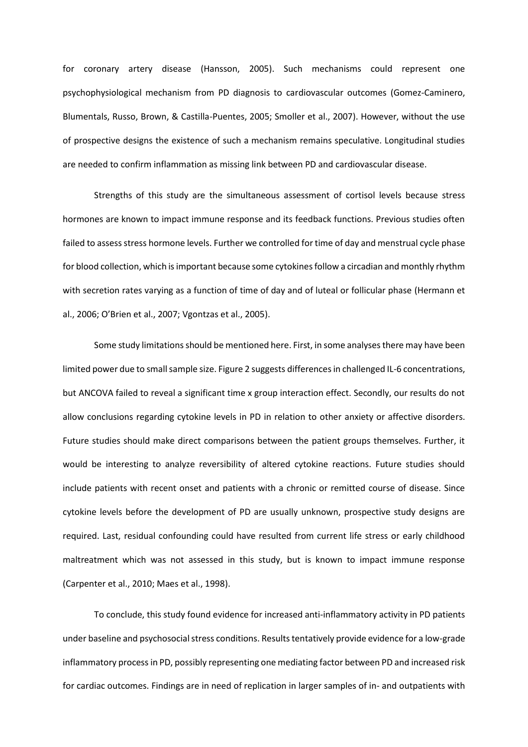for coronary artery disease [\(Hansson, 2005\)](#page-15-11). Such mechanisms could represent one psychophysiological mechanism from PD diagnosis to cardiovascular outcomes [\(Gomez-Caminero,](#page-15-12)  [Blumentals, Russo, Brown, & Castilla-Puentes, 2005;](#page-15-12) [Smoller et al., 2007\)](#page-17-14). However, without the use of prospective designs the existence of such a mechanism remains speculative. Longitudinal studies are needed to confirm inflammation as missing link between PD and cardiovascular disease.

Strengths of this study are the simultaneous assessment of cortisol levels because stress hormones are known to impact immune response and its feedback functions. Previous studies often failed to assess stress hormone levels. Further we controlled for time of day and menstrual cycle phase for blood collection, which is important because some cytokines follow a circadian and monthly rhythm with secretion rates varying as a function of time of day and of luteal or follicular phase [\(Hermann et](#page-15-13)  [al., 2006;](#page-15-13) [O'Brien et al., 2007](#page-16-21)[; Vgontzas et al., 2005\)](#page-17-15).

Some study limitations should be mentioned here. First, in some analyses there may have been limited power due to small sample size. Figure 2 suggests differences in challenged IL-6 concentrations, but ANCOVA failed to reveal a significant time x group interaction effect. Secondly, our results do not allow conclusions regarding cytokine levels in PD in relation to other anxiety or affective disorders. Future studies should make direct comparisons between the patient groups themselves. Further, it would be interesting to analyze reversibility of altered cytokine reactions. Future studies should include patients with recent onset and patients with a chronic or remitted course of disease. Since cytokine levels before the development of PD are usually unknown, prospective study designs are required. Last, residual confounding could have resulted from current life stress or early childhood maltreatment which was not assessed in this study, but is known to impact immune response [\(Carpenter et al., 2010;](#page-15-14) [Maes et al., 1998\)](#page-16-22).

To conclude, this study found evidence for increased anti-inflammatory activity in PD patients under baseline and psychosocial stress conditions. Results tentatively provide evidence for a low-grade inflammatory process in PD, possibly representing one mediating factor between PD and increased risk for cardiac outcomes. Findings are in need of replication in larger samples of in- and outpatients with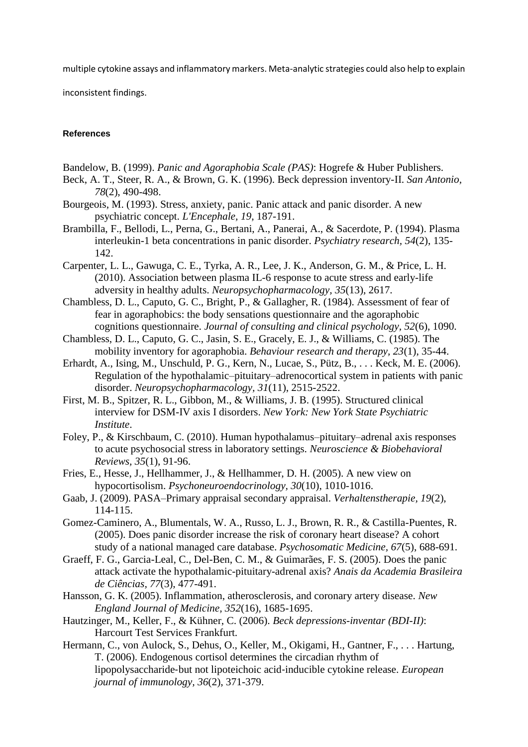multiple cytokine assays and inflammatory markers. Meta-analytic strategies could also help to explain

inconsistent findings.

## <span id="page-15-7"></span><span id="page-15-3"></span>**References**

- <span id="page-15-0"></span>Bandelow, B. (1999). *Panic and Agoraphobia Scale (PAS)*: Hogrefe & Huber Publishers.
- <span id="page-15-2"></span>Beck, A. T., Steer, R. A., & Brown, G. K. (1996). Beck depression inventory-II. *San Antonio, 78*(2), 490-498.
- Bourgeois, M. (1993). Stress, anxiety, panic. Panic attack and panic disorder. A new psychiatric concept. *L'Encephale, 19*, 187-191.
- Brambilla, F., Bellodi, L., Perna, G., Bertani, A., Panerai, A., & Sacerdote, P. (1994). Plasma interleukin-1 beta concentrations in panic disorder. *Psychiatry research, 54*(2), 135- 142.
- <span id="page-15-14"></span><span id="page-15-5"></span>Carpenter, L. L., Gawuga, C. E., Tyrka, A. R., Lee, J. K., Anderson, G. M., & Price, L. H. (2010). Association between plasma IL-6 response to acute stress and early-life adversity in healthy adults. *Neuropsychopharmacology, 35*(13), 2617.
- <span id="page-15-6"></span><span id="page-15-1"></span>Chambless, D. L., Caputo, G. C., Bright, P., & Gallagher, R. (1984). Assessment of fear of fear in agoraphobics: the body sensations questionnaire and the agoraphobic cognitions questionnaire. *Journal of consulting and clinical psychology, 52*(6), 1090.
- Chambless, D. L., Caputo, G. C., Jasin, S. E., Gracely, E. J., & Williams, C. (1985). The mobility inventory for agoraphobia. *Behaviour research and therapy, 23*(1), 35-44.
- Erhardt, A., Ising, M., Unschuld, P. G., Kern, N., Lucae, S., Pütz, B., . . . Keck, M. E. (2006). Regulation of the hypothalamic–pituitary–adrenocortical system in patients with panic disorder. *Neuropsychopharmacology, 31*(11), 2515-2522.
- First, M. B., Spitzer, R. L., Gibbon, M., & Williams, J. B. (1995). Structured clinical interview for DSM-IV axis I disorders. *New York: New York State Psychiatric Institute*.
- <span id="page-15-4"></span>Foley, P., & Kirschbaum, C. (2010). Human hypothalamus–pituitary–adrenal axis responses to acute psychosocial stress in laboratory settings. *Neuroscience & Biobehavioral Reviews, 35*(1), 91-96.
- <span id="page-15-10"></span>Fries, E., Hesse, J., Hellhammer, J., & Hellhammer, D. H. (2005). A new view on hypocortisolism. *Psychoneuroendocrinology, 30*(10), 1010-1016.
- Gaab, J. (2009). PASA–Primary appraisal secondary appraisal. *Verhaltenstherapie, 19*(2), 114-115.
- <span id="page-15-12"></span>Gomez-Caminero, A., Blumentals, W. A., Russo, L. J., Brown, R. R., & Castilla-Puentes, R. (2005). Does panic disorder increase the risk of coronary heart disease? A cohort study of a national managed care database. *Psychosomatic Medicine, 67*(5), 688-691.
- <span id="page-15-9"></span><span id="page-15-8"></span>Graeff, F. G., Garcia-Leal, C., Del-Ben, C. M., & Guimarães, F. S. (2005). Does the panic attack activate the hypothalamic-pituitary-adrenal axis? *Anais da Academia Brasileira de Ciências, 77*(3), 477-491.
- <span id="page-15-11"></span>Hansson, G. K. (2005). Inflammation, atherosclerosis, and coronary artery disease. *New England Journal of Medicine, 352*(16), 1685-1695.
- Hautzinger, M., Keller, F., & Kühner, C. (2006). *Beck depressions-inventar (BDI-II)*: Harcourt Test Services Frankfurt.
- <span id="page-15-13"></span>Hermann, C., von Aulock, S., Dehus, O., Keller, M., Okigami, H., Gantner, F., . . . Hartung, T. (2006). Endogenous cortisol determines the circadian rhythm of lipopolysaccharide‐but not lipoteichoic acid‐inducible cytokine release. *European journal of immunology, 36*(2), 371-379.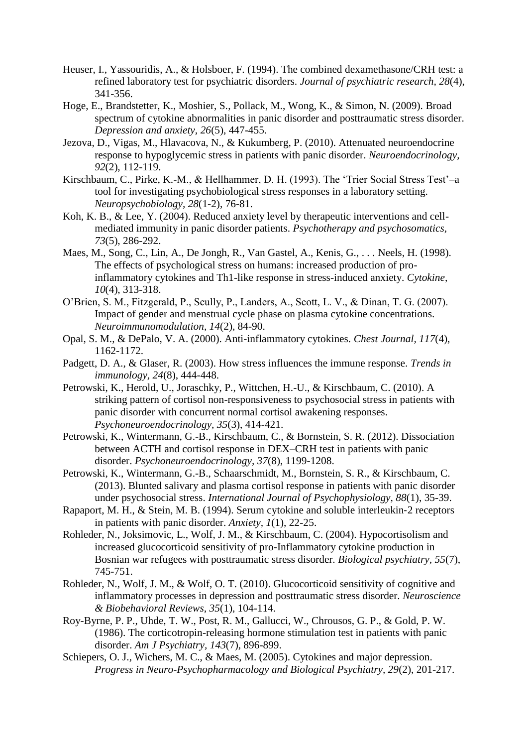- <span id="page-16-7"></span><span id="page-16-0"></span>Heuser, I., Yassouridis, A., & Holsboer, F. (1994). The combined dexamethasone/CRH test: a refined laboratory test for psychiatric disorders. *Journal of psychiatric research, 28*(4), 341-356.
- <span id="page-16-19"></span><span id="page-16-9"></span>Hoge, E., Brandstetter, K., Moshier, S., Pollack, M., Wong, K., & Simon, N. (2009). Broad spectrum of cytokine abnormalities in panic disorder and posttraumatic stress disorder. *Depression and anxiety, 26*(5), 447-455.
- <span id="page-16-12"></span>Jezova, D., Vigas, M., Hlavacova, N., & Kukumberg, P. (2010). Attenuated neuroendocrine response to hypoglycemic stress in patients with panic disorder. *Neuroendocrinology, 92*(2), 112-119.
- Kirschbaum, C., Pirke, K.-M., & Hellhammer, D. H. (1993). The 'Trier Social Stress Test'–a tool for investigating psychobiological stress responses in a laboratory setting. *Neuropsychobiology, 28*(1-2), 76-81.
- <span id="page-16-17"></span><span id="page-16-11"></span>Koh, K. B., & Lee, Y. (2004). Reduced anxiety level by therapeutic interventions and cellmediated immunity in panic disorder patients. *Psychotherapy and psychosomatics, 73*(5), 286-292.
- <span id="page-16-22"></span>Maes, M., Song, C., Lin, A., De Jongh, R., Van Gastel, A., Kenis, G., . . . Neels, H. (1998). The effects of psychological stress on humans: increased production of proinflammatory cytokines and Th1-like response in stress-induced anxiety. *Cytokine, 10*(4), 313-318.
- <span id="page-16-21"></span><span id="page-16-10"></span><span id="page-16-5"></span>O'Brien, S. M., Fitzgerald, P., Scully, P., Landers, A., Scott, L. V., & Dinan, T. G. (2007). Impact of gender and menstrual cycle phase on plasma cytokine concentrations. *Neuroimmunomodulation, 14*(2), 84-90.
- <span id="page-16-20"></span><span id="page-16-2"></span>Opal, S. M., & DePalo, V. A. (2000). Anti-inflammatory cytokines. *Chest Journal, 117*(4), 1162-1172.
- <span id="page-16-13"></span>Padgett, D. A., & Glaser, R. (2003). How stress influences the immune response. *Trends in immunology, 24*(8), 444-448.
- <span id="page-16-15"></span><span id="page-16-3"></span>Petrowski, K., Herold, U., Joraschky, P., Wittchen, H.-U., & Kirschbaum, C. (2010). A striking pattern of cortisol non-responsiveness to psychosocial stress in patients with panic disorder with concurrent normal cortisol awakening responses. *Psychoneuroendocrinology, 35*(3), 414-421.
- <span id="page-16-4"></span>Petrowski, K., Wintermann, G.-B., Kirschbaum, C., & Bornstein, S. R. (2012). Dissociation between ACTH and cortisol response in DEX–CRH test in patients with panic disorder. *Psychoneuroendocrinology, 37*(8), 1199-1208.
- <span id="page-16-16"></span><span id="page-16-6"></span>Petrowski, K., Wintermann, G.-B., Schaarschmidt, M., Bornstein, S. R., & Kirschbaum, C. (2013). Blunted salivary and plasma cortisol response in patients with panic disorder under psychosocial stress. *International Journal of Psychophysiology, 88*(1), 35-39.
- <span id="page-16-18"></span>Rapaport, M. H., & Stein, M. B. (1994). Serum cytokine and soluble interleukin‐2 receptors in patients with panic disorder. *Anxiety, 1*(1), 22-25.
- <span id="page-16-14"></span>Rohleder, N., Joksimovic, L., Wolf, J. M., & Kirschbaum, C. (2004). Hypocortisolism and increased glucocorticoid sensitivity of pro-Inflammatory cytokine production in Bosnian war refugees with posttraumatic stress disorder. *Biological psychiatry, 55*(7), 745-751.
- <span id="page-16-8"></span>Rohleder, N., Wolf, J. M., & Wolf, O. T. (2010). Glucocorticoid sensitivity of cognitive and inflammatory processes in depression and posttraumatic stress disorder. *Neuroscience & Biobehavioral Reviews, 35*(1), 104-114.
- <span id="page-16-1"></span>Roy-Byrne, P. P., Uhde, T. W., Post, R. M., Gallucci, W., Chrousos, G. P., & Gold, P. W. (1986). The corticotropin-releasing hormone stimulation test in patients with panic disorder. *Am J Psychiatry, 143*(7), 896-899.
- Schiepers, O. J., Wichers, M. C., & Maes, M. (2005). Cytokines and major depression. *Progress in Neuro-Psychopharmacology and Biological Psychiatry, 29*(2), 201-217.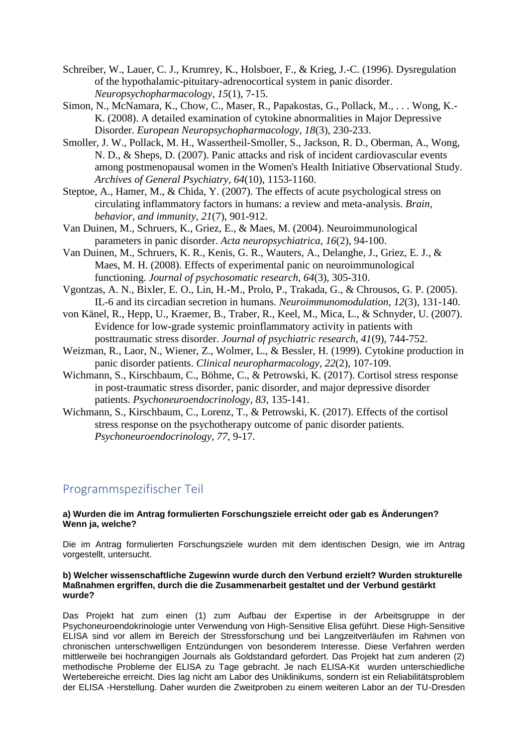- <span id="page-17-2"></span><span id="page-17-0"></span>Schreiber, W., Lauer, C. J., Krumrey, K., Holsboer, F., & Krieg, J.-C. (1996). Dysregulation of the hypothalamic-pituitary-adrenocortical system in panic disorder. *Neuropsychopharmacology, 15*(1), 7-15.
- <span id="page-17-6"></span>Simon, N., McNamara, K., Chow, C., Maser, R., Papakostas, G., Pollack, M., . . . Wong, K.- K. (2008). A detailed examination of cytokine abnormalities in Major Depressive Disorder. *European Neuropsychopharmacology, 18*(3), 230-233.
- <span id="page-17-14"></span><span id="page-17-3"></span>Smoller, J. W., Pollack, M. H., Wassertheil-Smoller, S., Jackson, R. D., Oberman, A., Wong, N. D., & Sheps, D. (2007). Panic attacks and risk of incident cardiovascular events among postmenopausal women in the Women's Health Initiative Observational Study. *Archives of General Psychiatry, 64*(10), 1153-1160.
- <span id="page-17-12"></span><span id="page-17-4"></span>Steptoe, A., Hamer, M., & Chida, Y. (2007). The effects of acute psychological stress on circulating inflammatory factors in humans: a review and meta-analysis. *Brain, behavior, and immunity, 21*(7), 901-912.
- <span id="page-17-11"></span>Van Duinen, M., Schruers, K., Griez, E., & Maes, M. (2004). Neuroimmunological parameters in panic disorder. *Acta neuropsychiatrica, 16*(2), 94-100.
- <span id="page-17-9"></span><span id="page-17-5"></span>Van Duinen, M., Schruers, K. R., Kenis, G. R., Wauters, A., Delanghe, J., Griez, E. J., & Maes, M. H. (2008). Effects of experimental panic on neuroimmunological functioning. *Journal of psychosomatic research, 64*(3), 305-310.
- <span id="page-17-15"></span>Vgontzas, A. N., Bixler, E. O., Lin, H.-M., Prolo, P., Trakada, G., & Chrousos, G. P. (2005). IL-6 and its circadian secretion in humans. *Neuroimmunomodulation, 12*(3), 131-140.
- <span id="page-17-13"></span><span id="page-17-1"></span>von Känel, R., Hepp, U., Kraemer, B., Traber, R., Keel, M., Mica, L., & Schnyder, U. (2007). Evidence for low-grade systemic proinflammatory activity in patients with posttraumatic stress disorder. *Journal of psychiatric research, 41*(9), 744-752.
- <span id="page-17-10"></span>Weizman, R., Laor, N., Wiener, Z., Wolmer, L., & Bessler, H. (1999). Cytokine production in panic disorder patients. *Clinical neuropharmacology, 22*(2), 107-109.
- <span id="page-17-7"></span>Wichmann, S., Kirschbaum, C., Böhme, C., & Petrowski, K. (2017). Cortisol stress response in post-traumatic stress disorder, panic disorder, and major depressive disorder patients. *Psychoneuroendocrinology, 83*, 135-141.
- <span id="page-17-8"></span>Wichmann, S., Kirschbaum, C., Lorenz, T., & Petrowski, K. (2017). Effects of the cortisol stress response on the psychotherapy outcome of panic disorder patients. *Psychoneuroendocrinology, 77*, 9-17.

# Programmspezifischer Teil

## **a) Wurden die im Antrag formulierten Forschungsziele erreicht oder gab es Änderungen? Wenn ja, welche?**

Die im Antrag formulierten Forschungsziele wurden mit dem identischen Design, wie im Antrag vorgestellt, untersucht.

#### **b) Welcher wissenschaftliche Zugewinn wurde durch den Verbund erzielt? Wurden strukturelle Maßnahmen ergriffen, durch die die Zusammenarbeit gestaltet und der Verbund gestärkt wurde?**

Das Projekt hat zum einen (1) zum Aufbau der Expertise in der Arbeitsgruppe in der Psychoneuroendokrinologie unter Verwendung von High-Sensitive Elisa geführt. Diese High-Sensitive ELISA sind vor allem im Bereich der Stressforschung und bei Langzeitverläufen im Rahmen von chronischen unterschwelligen Entzündungen von besonderem Interesse. Diese Verfahren werden mittlerweile bei hochrangigen Journals als Goldstandard gefordert. Das Projekt hat zum anderen (2) methodische Probleme der ELISA zu Tage gebracht. Je nach ELISA-Kit wurden unterschiedliche Wertebereiche erreicht. Dies lag nicht am Labor des Uniklinikums, sondern ist ein Reliabilitätsproblem der ELISA -Herstellung. Daher wurden die Zweitproben zu einem weiteren Labor an der TU-Dresden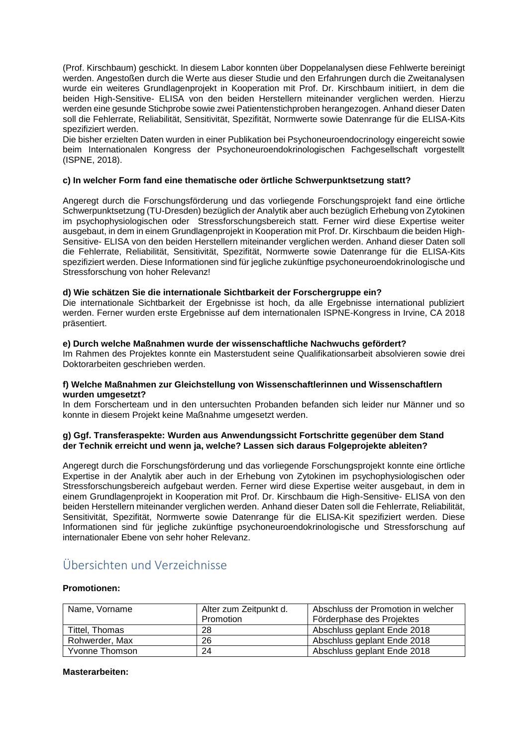(Prof. Kirschbaum) geschickt. In diesem Labor konnten über Doppelanalysen diese Fehlwerte bereinigt werden. Angestoßen durch die Werte aus dieser Studie und den Erfahrungen durch die Zweitanalysen wurde ein weiteres Grundlagenprojekt in Kooperation mit Prof. Dr. Kirschbaum initiiert, in dem die beiden High-Sensitive- ELISA von den beiden Herstellern miteinander verglichen werden. Hierzu werden eine gesunde Stichprobe sowie zwei Patientenstichproben herangezogen. Anhand dieser Daten soll die Fehlerrate, Reliabilität, Sensitivität, Spezifität, Normwerte sowie Datenrange für die ELISA-Kits spezifiziert werden.

Die bisher erzielten Daten wurden in einer Publikation bei Psychoneuroendocrinology eingereicht sowie beim Internationalen Kongress der Psychoneuroendokrinologischen Fachgesellschaft vorgestellt (ISPNE, 2018).

## **c) In welcher Form fand eine thematische oder örtliche Schwerpunktsetzung statt?**

Angeregt durch die Forschungsförderung und das vorliegende Forschungsprojekt fand eine örtliche Schwerpunktsetzung (TU-Dresden) bezüglich der Analytik aber auch bezüglich Erhebung von Zytokinen im psychophysiologischen oder Stressforschungsbereich statt. Ferner wird diese Expertise weiter ausgebaut, in dem in einem Grundlagenprojekt in Kooperation mit Prof. Dr. Kirschbaum die beiden High-Sensitive- ELISA von den beiden Herstellern miteinander verglichen werden. Anhand dieser Daten soll die Fehlerrate, Reliabilität, Sensitivität, Spezifität, Normwerte sowie Datenrange für die ELISA-Kits spezifiziert werden. Diese Informationen sind für jegliche zukünftige psychoneuroendokrinologische und Stressforschung von hoher Relevanz!

## **d) Wie schätzen Sie die internationale Sichtbarkeit der Forschergruppe ein?**

Die internationale Sichtbarkeit der Ergebnisse ist hoch, da alle Ergebnisse international publiziert werden. Ferner wurden erste Ergebnisse auf dem internationalen ISPNE-Kongress in Irvine, CA 2018 präsentiert.

## **e) Durch welche Maßnahmen wurde der wissenschaftliche Nachwuchs gefördert?**

Im Rahmen des Projektes konnte ein Masterstudent seine Qualifikationsarbeit absolvieren sowie drei Doktorarbeiten geschrieben werden.

## **f) Welche Maßnahmen zur Gleichstellung von Wissenschaftlerinnen und Wissenschaftlern wurden umgesetzt?**

In dem Forscherteam und in den untersuchten Probanden befanden sich leider nur Männer und so konnte in diesem Projekt keine Maßnahme umgesetzt werden.

## **g) Ggf. Transferaspekte: Wurden aus Anwendungssicht Fortschritte gegenüber dem Stand der Technik erreicht und wenn ja, welche? Lassen sich daraus Folgeprojekte ableiten?**

Angeregt durch die Forschungsförderung und das vorliegende Forschungsprojekt konnte eine örtliche Expertise in der Analytik aber auch in der Erhebung von Zytokinen im psychophysiologischen oder Stressforschungsbereich aufgebaut werden. Ferner wird diese Expertise weiter ausgebaut, in dem in einem Grundlagenprojekt in Kooperation mit Prof. Dr. Kirschbaum die High-Sensitive- ELISA von den beiden Herstellern miteinander verglichen werden. Anhand dieser Daten soll die Fehlerrate, Reliabilität, Sensitivität, Spezifität, Normwerte sowie Datenrange für die ELISA-Kit spezifiziert werden. Diese Informationen sind für jegliche zukünftige psychoneuroendokrinologische und Stressforschung auf internationaler Ebene von sehr hoher Relevanz.

# Übersichten und Verzeichnisse

## **Promotionen:**

| Name, Vorname  | Alter zum Zeitpunkt d.<br>Promotion | Abschluss der Promotion in welcher<br>Förderphase des Projektes |
|----------------|-------------------------------------|-----------------------------------------------------------------|
| Tittel. Thomas | 28                                  | Abschluss geplant Ende 2018                                     |
| Rohwerder, Max | 26                                  | Abschluss geplant Ende 2018                                     |
| Yvonne Thomson | 24                                  | Abschluss geplant Ende 2018                                     |

## **Masterarbeiten:**